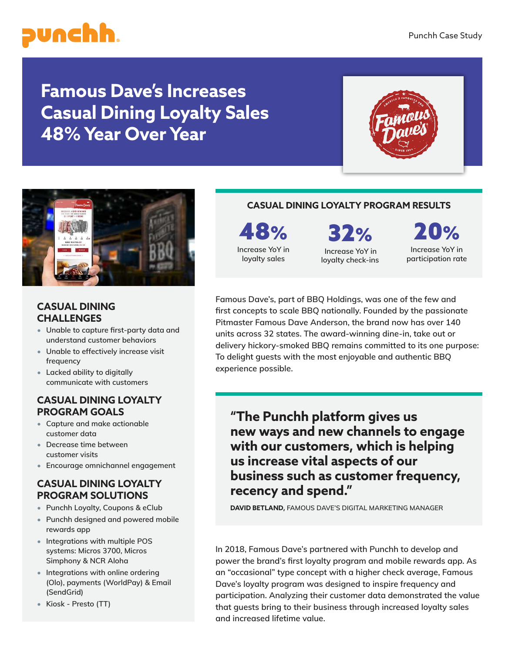

**Famous Dave's Increases Casual Dining Loyalty Sales 48% Year Over Year**





## **CASUAL DINING CHALLENGES**

- **Unable to capture first-party data and understand customer behaviors**
- **Unable to effectively increase visit frequency**
- **Lacked ability to digitally communicate with customers**

#### **CASUAL DINING LOYALTY PROGRAM GOALS**

- **Capture and make actionable customer data**
- **Decrease time between customer visits**
- **Encourage omnichannel engagement**

## **CASUAL DINING LOYALTY PROGRAM SOLUTIONS**

- **Punchh Loyalty, Coupons & eClub**
- **Punchh designed and powered mobile rewards app**
- **Integrations with multiple POS systems: Micros 3700, Micros Simphony & NCR Aloha**
- **Integrations with online ordering (Olo), payments (WorldPay) & Email (SendGrid)**
- **Kiosk Presto (TT)**

## **CASUAL DINING LOYALTY PROGRAM RESULTS**

48% **Increase YoY in loyalty sales**

32%

**Increase YoY in loyalty check-ins**

 $0\%$ **Increase YoY in participation rate**

**Famous Dave's, part of BBQ Holdings, was one of the few and first concepts to scale BBQ nationally. Founded by the passionate Pitmaster Famous Dave Anderson, the brand now has over 140 units across 32 states. The award-winning dine-in, take out or delivery hickory-smoked BBQ remains committed to its one purpose: To delight guests with the most enjoyable and authentic BBQ experience possible.**

**"The Punchh platform gives us new ways and new channels to engage with our customers, which is helping us increase vital aspects of our business such as customer frequency, recency and spend."** 

**DAVID BETLAND, FAMOUS DAVE'S DIGITAL MARKETING MANAGER**

**In 2018, Famous Dave's partnered with Punchh to develop and power the brand's first loyalty program and mobile rewards app. As an "occasional" type concept with a higher check average, Famous Dave's loyalty program was designed to inspire frequency and participation. Analyzing their customer data demonstrated the value that guests bring to their business through increased loyalty sales and increased lifetime value.**